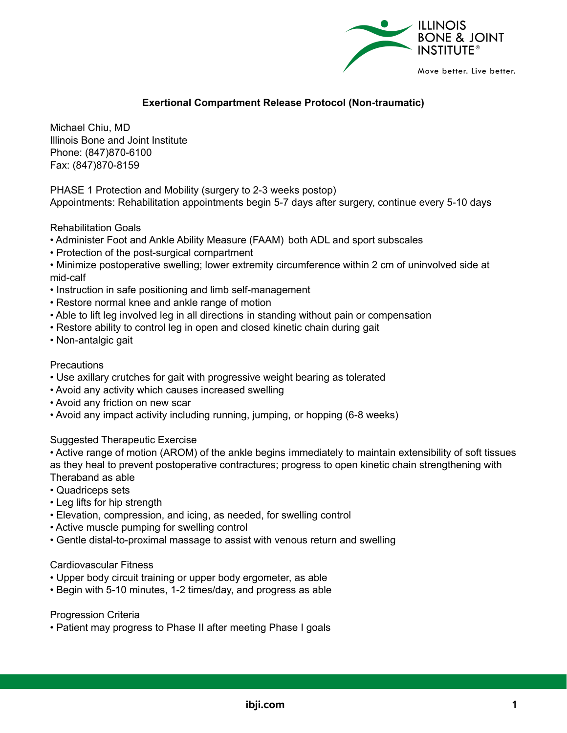

# **Exertional Compartment Release Protocol (Non-traumatic)**

Michael Chiu, MD Illinois Bone and Joint Institute Phone: (847)870-6100 Fax: (847)870-8159

PHASE 1 Protection and Mobility (surgery to 2-3 weeks postop) Appointments: Rehabilitation appointments begin 5-7 days after surgery, continue every 5-10 days

Rehabilitation Goals

- Administer Foot and Ankle Ability Measure (FAAM) both ADL and sport subscales
- Protection of the post-surgical compartment
- Minimize postoperative swelling; lower extremity circumference within 2 cm of uninvolved side at mid-calf
- Instruction in safe positioning and limb self-management
- Restore normal knee and ankle range of motion
- Able to lift leg involved leg in all directions in standing without pain or compensation
- Restore ability to control leg in open and closed kinetic chain during gait
- Non-antalgic gait

#### **Precautions**

- Use axillary crutches for gait with progressive weight bearing as tolerated
- Avoid any activity which causes increased swelling
- Avoid any friction on new scar
- Avoid any impact activity including running, jumping, or hopping (6-8 weeks)

Suggested Therapeutic Exercise

• Active range of motion (AROM) of the ankle begins immediately to maintain extensibility of soft tissues as they heal to prevent postoperative contractures; progress to open kinetic chain strengthening with Theraband as able

- Quadriceps sets
- Leg lifts for hip strength
- Elevation, compression, and icing, as needed, for swelling control
- Active muscle pumping for swelling control
- Gentle distal-to-proximal massage to assist with venous return and swelling

#### Cardiovascular Fitness

- Upper body circuit training or upper body ergometer, as able
- Begin with 5-10 minutes, 1-2 times/day, and progress as able

#### Progression Criteria

• Patient may progress to Phase II after meeting Phase I goals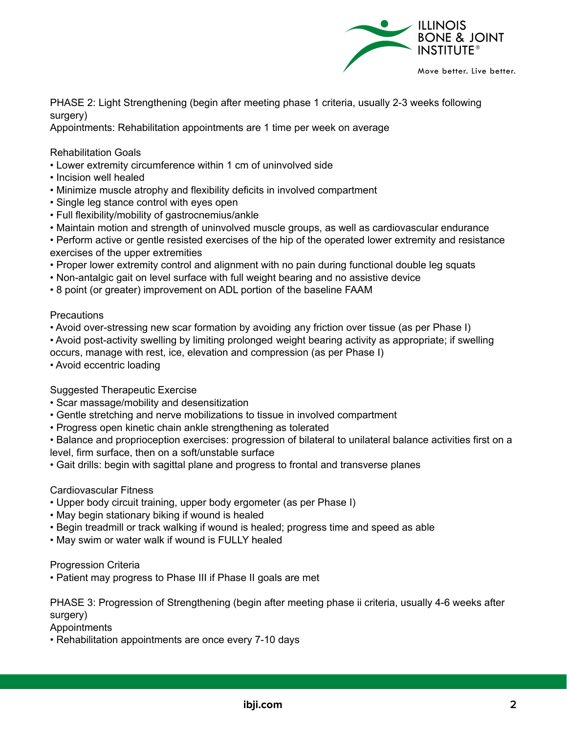

PHASE 2: Light Strengthening (begin after meeting phase 1 criteria, usually 2-3 weeks following surgery)

Appointments: Rehabilitation appointments are 1 time per week on average

Rehabilitation Goals

- Lower extremity circumference within 1 cm of uninvolved side
- Incision well healed
- Minimize muscle atrophy and flexibility deficits in involved compartment
- Single leg stance control with eyes open
- Full flexibility/mobility of gastrocnemius/ankle
- Maintain motion and strength of uninvolved muscle groups, as well as cardiovascular endurance

• Perform active or gentle resisted exercises of the hip of the operated lower extremity and resistance exercises of the upper extremities

- Proper lower extremity control and alignment with no pain during functional double leg squats
- Non-antalgic gait on level surface with full weight bearing and no assistive device
- 8 point (or greater) improvement on ADL portion of the baseline FAAM

## **Precautions**

• Avoid over-stressing new scar formation by avoiding any friction over tissue (as per Phase I)

• Avoid post-activity swelling by limiting prolonged weight bearing activity as appropriate; if swelling occurs, manage with rest, ice, elevation and compression (as per Phase I)

• Avoid eccentric loading

Suggested Therapeutic Exercise

- Scar massage/mobility and desensitization
- Gentle stretching and nerve mobilizations to tissue in involved compartment
- Progress open kinetic chain ankle strengthening as tolerated

• Balance and proprioception exercises: progression of bilateral to unilateral balance activities first on a level, firm surface, then on a soft/unstable surface

• Gait drills: begin with sagittal plane and progress to frontal and transverse planes

## Cardiovascular Fitness

- Upper body circuit training, upper body ergometer (as per Phase I)
- May begin stationary biking if wound is healed
- Begin treadmill or track walking if wound is healed; progress time and speed as able
- May swim or water walk if wound is FULLY healed

Progression Criteria

• Patient may progress to Phase III if Phase II goals are met

PHASE 3: Progression of Strengthening (begin after meeting phase ii criteria, usually 4-6 weeks after surgery)

Appointments

• Rehabilitation appointments are once every 7-10 days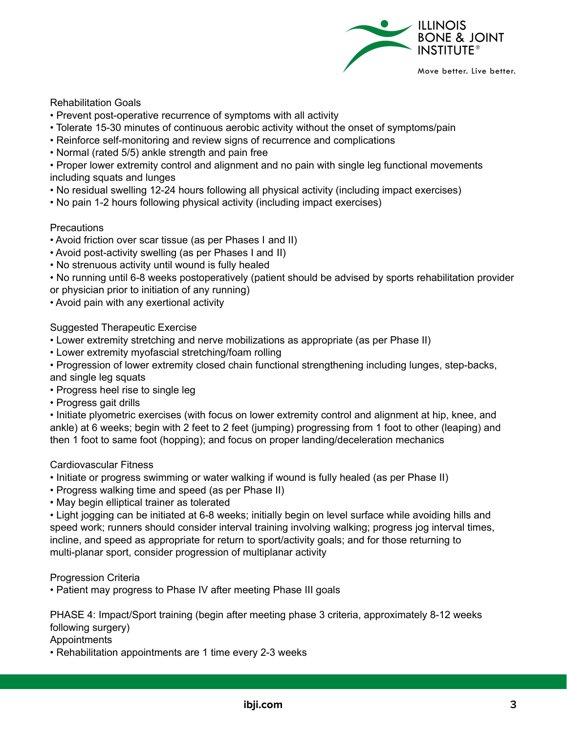

## Rehabilitation Goals

- Prevent post-operative recurrence of symptoms with all activity
- Tolerate 15-30 minutes of continuous aerobic activity without the onset of symptoms/pain
- Reinforce self-monitoring and review signs of recurrence and complications
- Normal (rated 5/5) ankle strength and pain free

• Proper lower extremity control and alignment and no pain with single leg functional movements including squats and lunges

- No residual swelling 12-24 hours following all physical activity (including impact exercises)
- No pain 1-2 hours following physical activity (including impact exercises)

# **Precautions**

- Avoid friction over scar tissue (as per Phases I and II)
- Avoid post-activity swelling (as per Phases I and II)
- No strenuous activity until wound is fully healed

• No running until 6-8 weeks postoperatively (patient should be advised by sports rehabilitation provider or physician prior to initiation of any running)

• Avoid pain with any exertional activity

# Suggested Therapeutic Exercise

- Lower extremity stretching and nerve mobilizations as appropriate (as per Phase II)
- Lower extremity myofascial stretching/foam rolling

• Progression of lower extremity closed chain functional strengthening including lunges, step-backs, and single leg squats

- Progress heel rise to single leg
- Progress gait drills

• Initiate plyometric exercises (with focus on lower extremity control and alignment at hip, knee, and ankle) at 6 weeks; begin with 2 feet to 2 feet (jumping) progressing from 1 foot to other (leaping) and then 1 foot to same foot (hopping); and focus on proper landing/deceleration mechanics

## Cardiovascular Fitness

- Initiate or progress swimming or water walking if wound is fully healed (as per Phase II)
- Progress walking time and speed (as per Phase II)
- May begin elliptical trainer as tolerated

• Light jogging can be initiated at 6-8 weeks; initially begin on level surface while avoiding hills and speed work; runners should consider interval training involving walking; progress jog interval times, incline, and speed as appropriate for return to sport/activity goals; and for those returning to multi-planar sport, consider progression of multiplanar activity

## Progression Criteria

• Patient may progress to Phase IV after meeting Phase III goals

PHASE 4: Impact/Sport training (begin after meeting phase 3 criteria, approximately 8-12 weeks following surgery)

Appointments

• Rehabilitation appointments are 1 time every 2-3 weeks